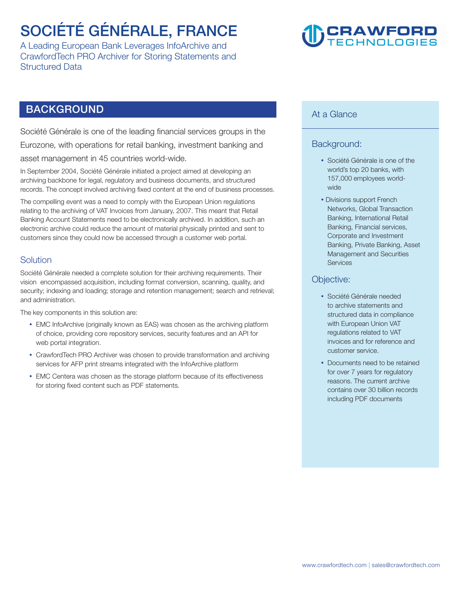### **SOCIÉTÉ GÉNÉRALE, FRANCE**

**A Leading European Bank Leverages InfoArchive and CrawfordTech PRO Archiver for Storing Statements and Structured Data** 

# **CRAWFORD**<br>TECHNOLOGIES

### **BACKGROUND**

**Société Générale is one of the leading financial services groups in the Eurozone, with operations for retail banking, investment banking and asset management in 45 countries world-wide.** 

**In September 2004, Société Générale initiated a project aimed at developing an archiving backbone for legal, regulatory and business documents, and structured records. The concept involved archiving fixed content at the end of business processes.** 

**The compelling event was a need to comply with the European Union regulations relating to the archiving of VAT Invoices from January, 2007. This meant that Retail Banking Account Statements need to be electronically archived. In addition, such an electronic archive could reduce the amount of material physically printed and sent to customers since they could now be accessed through a customer web portal.** 

### **Solution**

**Société Générale needed a complete solution for their archiving requirements. Their vision encompassed acquisition, including format conversion, scanning, quality, and security; indexing and loading; storage and retention management; search and retrieval; and administration.** 

**The key components in this solution are:** 

- **EMC** InfoArchive (originally known as EAS) was chosen as the archiving platform **of choice, providing core repository services, security features and an API for web portal integration.**
- CrawfordTech PRO Archiver was chosen to provide transformation and archiving **services for AFP print streams integrated with the InfoArchive platform**
- EMC Centera was chosen as the storage platform because of its effectiveness **for storing fixed content such as PDF statements.**

### **At a Glance**

### **Background:**

- **Société Générale is one of the world's top 20 banks, with 157,000 employees worldwide**
- **Divisions support French Networks, Global Transaction Banking, International Retail Banking, Financial services, Corporate and Investment Banking, Private Banking, Asset Management and Securities Services**

#### **Objective:**

- **Société Générale needed to archive statements and structured data in compliance with European Union VAT regulations related to VAT invoices and for reference and customer service.**
- **Documents need to be retained for over 7 years for regulatory reasons. The current archive contains over 30 billion records including PDF documents**